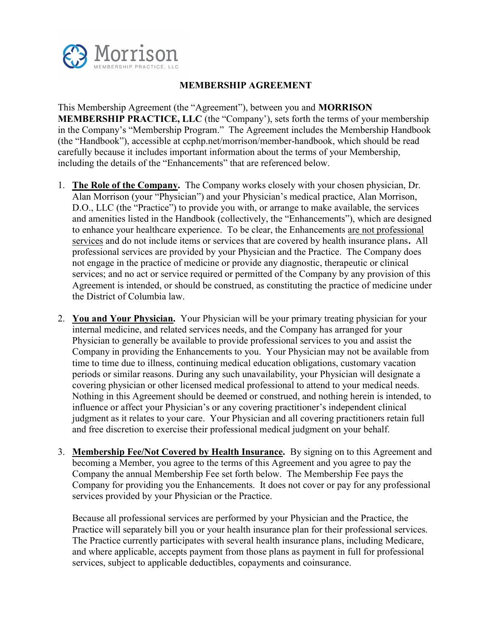

## MEMBERSHIP AGREEMENT

This Membership Agreement (the "Agreement"), between you and MORRISON MEMBERSHIP PRACTICE, LLC (the "Company'), sets forth the terms of your membership in the Company's "Membership Program." The Agreement includes the Membership Handbook (the "Handbook"), accessible at ccphp.net/morrison/member-handbook, which should be read carefully because it includes important information about the terms of your Membership, including the details of the "Enhancements" that are referenced below.

- 1. The Role of the Company. The Company works closely with your chosen physician, Dr. Alan Morrison (your "Physician") and your Physician's medical practice, Alan Morrison, D.O., LLC (the "Practice") to provide you with, or arrange to make available, the services and amenities listed in the Handbook (collectively, the "Enhancements"), which are designed to enhance your healthcare experience. To be clear, the Enhancements are not professional services and do not include items or services that are covered by health insurance plans. All professional services are provided by your Physician and the Practice. The Company does not engage in the practice of medicine or provide any diagnostic, therapeutic or clinical services; and no act or service required or permitted of the Company by any provision of this Agreement is intended, or should be construed, as constituting the practice of medicine under the District of Columbia law.
- 2. You and Your Physician. Your Physician will be your primary treating physician for your internal medicine, and related services needs, and the Company has arranged for your Physician to generally be available to provide professional services to you and assist the Company in providing the Enhancements to you. Your Physician may not be available from time to time due to illness, continuing medical education obligations, customary vacation periods or similar reasons. During any such unavailability, your Physician will designate a covering physician or other licensed medical professional to attend to your medical needs. Nothing in this Agreement should be deemed or construed, and nothing herein is intended, to influence or affect your Physician's or any covering practitioner's independent clinical judgment as it relates to your care. Your Physician and all covering practitioners retain full and free discretion to exercise their professional medical judgment on your behalf.
- 3. Membership Fee/Not Covered by Health Insurance. By signing on to this Agreement and becoming a Member, you agree to the terms of this Agreement and you agree to pay the Company the annual Membership Fee set forth below. The Membership Fee pays the Company for providing you the Enhancements. It does not cover or pay for any professional services provided by your Physician or the Practice.

Because all professional services are performed by your Physician and the Practice, the Practice will separately bill you or your health insurance plan for their professional services. The Practice currently participates with several health insurance plans, including Medicare, and where applicable, accepts payment from those plans as payment in full for professional services, subject to applicable deductibles, copayments and coinsurance.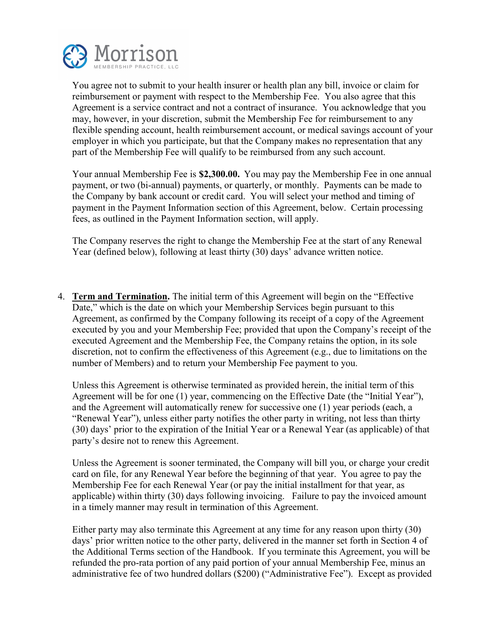

You agree not to submit to your health insurer or health plan any bill, invoice or claim for reimbursement or payment with respect to the Membership Fee. You also agree that this Agreement is a service contract and not a contract of insurance. You acknowledge that you may, however, in your discretion, submit the Membership Fee for reimbursement to any flexible spending account, health reimbursement account, or medical savings account of your employer in which you participate, but that the Company makes no representation that any part of the Membership Fee will qualify to be reimbursed from any such account.

Your annual Membership Fee is \$**2**,**3**00.00. You may pay the Membership Fee in one annual payment, or two (bi-annual) payments, or quarterly, or monthly. Payments can be made to the Company by bank account or credit card. You will select your method and timing of payment in the Payment Information section of this Agreement, below. Certain processing fees, as outlined in the Payment Information section, will apply.

The Company reserves the right to change the Membership Fee at the start of any Renewal Year (defined below), following at least thirty (30) days' advance written notice.

4. Term and Termination. The initial term of this Agreement will begin on the "Effective Date," which is the date on which your Membership Services begin pursuant to this Agreement, as confirmed by the Company following its receipt of a copy of the Agreement executed by you and your Membership Fee; provided that upon the Company's receipt of the executed Agreement and the Membership Fee, the Company retains the option, in its sole discretion, not to confirm the effectiveness of this Agreement (e.g., due to limitations on the number of Members) and to return your Membership Fee payment to you.

Unless this Agreement is otherwise terminated as provided herein, the initial term of this Agreement will be for one (1) year, commencing on the Effective Date (the "Initial Year"), and the Agreement will automatically renew for successive one (1) year periods (each, a "Renewal Year"), unless either party notifies the other party in writing, not less than thirty (30) days' prior to the expiration of the Initial Year or a Renewal Year (as applicable) of that party's desire not to renew this Agreement.

Unless the Agreement is sooner terminated, the Company will bill you, or charge your credit card on file, for any Renewal Year before the beginning of that year. You agree to pay the Membership Fee for each Renewal Year (or pay the initial installment for that year, as applicable) within thirty (30) days following invoicing. Failure to pay the invoiced amount in a timely manner may result in termination of this Agreement.

Either party may also terminate this Agreement at any time for any reason upon thirty (30) days' prior written notice to the other party, delivered in the manner set forth in Section 4 of the Additional Terms section of the Handbook. If you terminate this Agreement, you will be refunded the pro-rata portion of any paid portion of your annual Membership Fee, minus an administrative fee of two hundred dollars (\$200) ("Administrative Fee"). Except as provided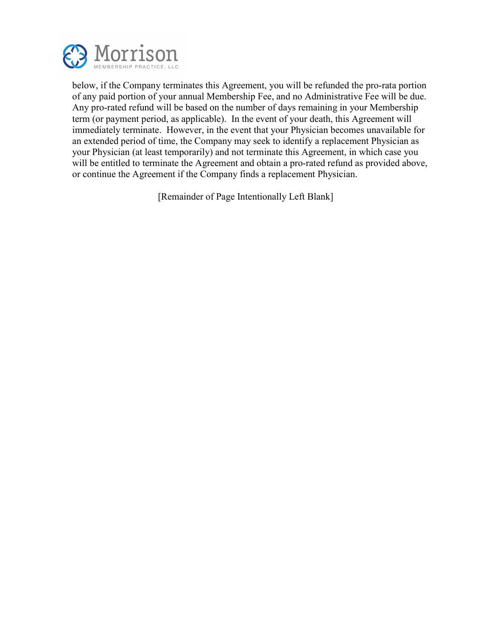

below, if the Company terminates this Agreement, you will be refunded the pro-rata portion of any paid portion of your annual Membership Fee, and no Administrative Fee will be due. Any pro-rated refund will be based on the number of days remaining in your Membership term (or payment period, as applicable). In the event of your death, this Agreement will immediately terminate. However, in the event that your Physician becomes unavailable for an extended period of time, the Company may seek to identify a replacement Physician as your Physician (at least temporarily) and not terminate this Agreement, in which case you will be entitled to terminate the Agreement and obtain a pro-rated refund as provided above, or continue the Agreement if the Company finds a replacement Physician.

[Remainder of Page Intentionally Left Blank]